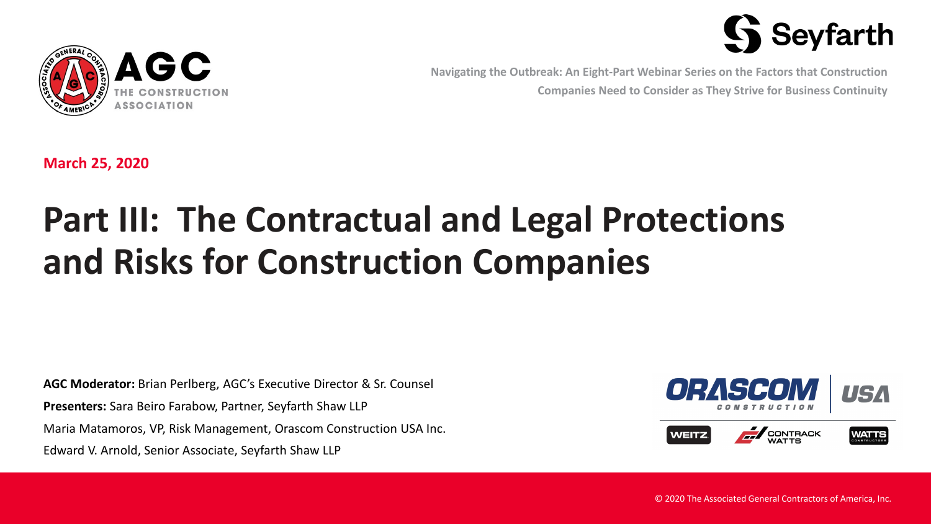



**Navigating the Outbreak: An Eight-Part Webinar Series on the Factors that Construction Companies Need to Consider as They Strive for Business Continuity**

**March 25, 2020**

# **Part III: The Contractual and Legal Protections and Risks for Construction Companies**

**AGC Moderator:** Brian Perlberg, AGC's Executive Director & Sr. Counsel **Presenters:** Sara Beiro Farabow, Partner, Seyfarth Shaw LLP Maria Matamoros, VP, Risk Management, Orascom Construction USA Inc. Edward V. Arnold, Senior Associate, Seyfarth Shaw LLP





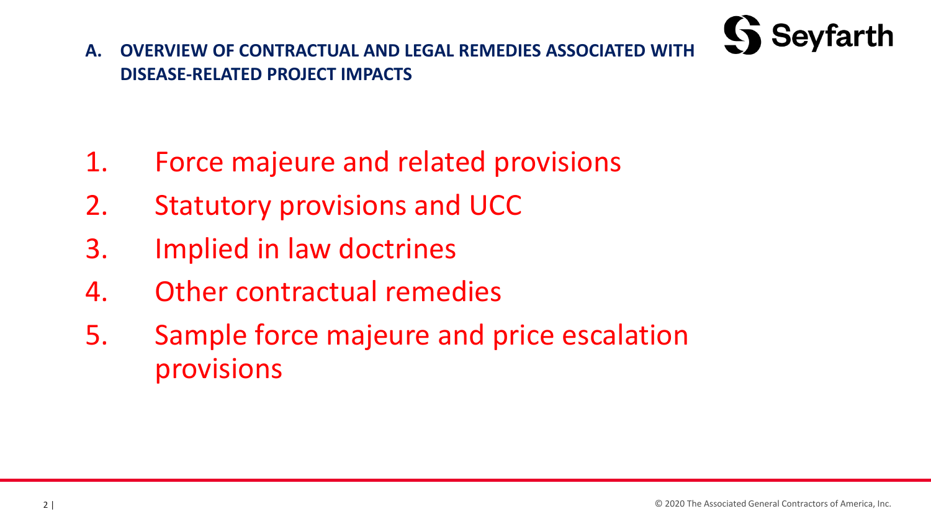

**A. OVERVIEW OF CONTRACTUAL AND LEGAL REMEDIES ASSOCIATED WITH DISEASE-RELATED PROJECT IMPACTS**

- 1. Force majeure and related provisions
- 2. Statutory provisions and UCC
- 3. Implied in law doctrines
- 4. Other contractual remedies
- 5. Sample force majeure and price escalation provisions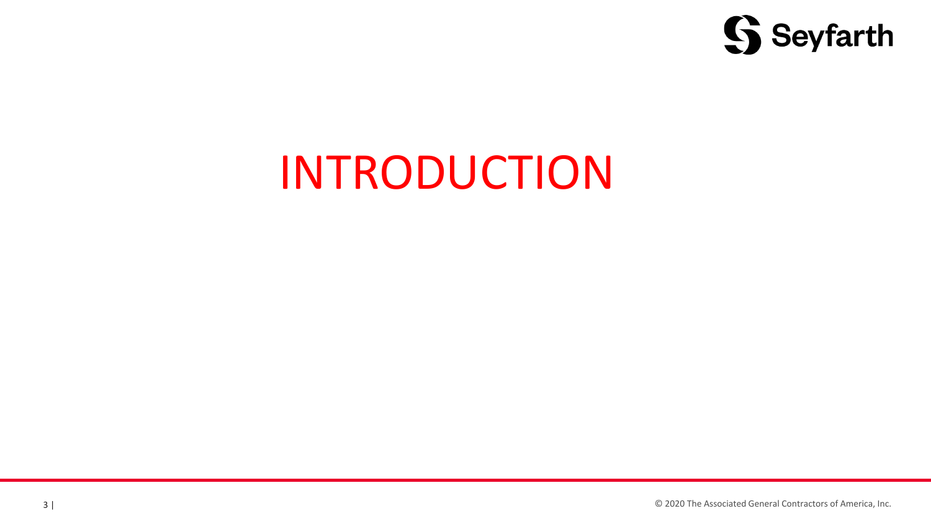

# INTRODUCTION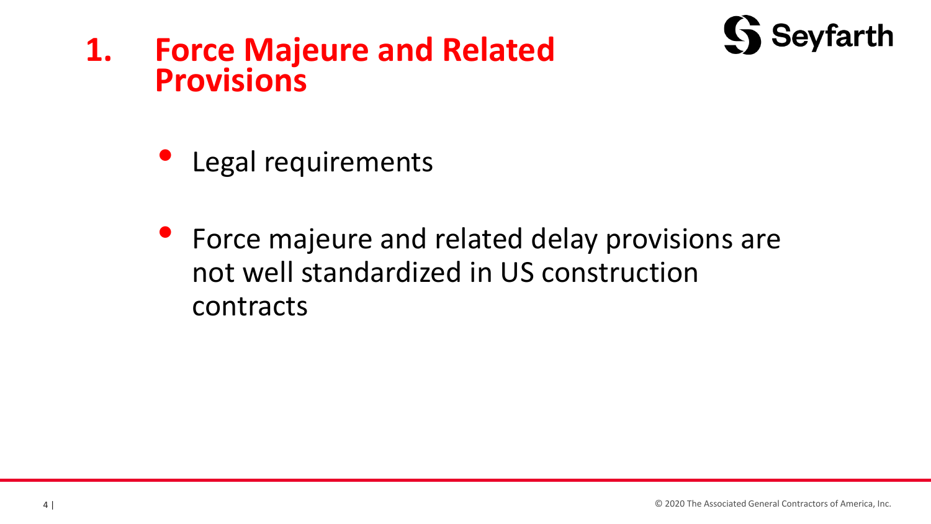



- Legal requirements
- Force majeure and related delay provisions are not well standardized in US construction contracts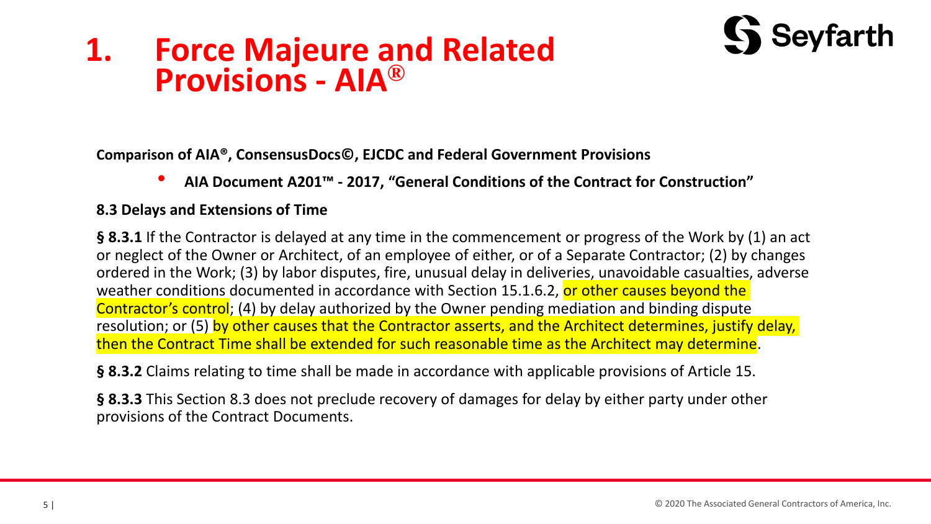# **Seyfarth**

## **1. Force Majeure and Related Provisions - AIA®**

**Comparison of AIA®, ConsensusDocs©, EJCDC and Federal Government Provisions**

• **AIA Document A201™ - 2017, "General Conditions of the Contract for Construction"**

### **8.3 Delays and Extensions of Time**

**§ 8.3.1** If the Contractor is delayed at any time in the commencement or progress of the Work by (1) an act or neglect of the Owner or Architect, of an employee of either, or of a Separate Contractor; (2) by changes ordered in the Work; (3) by labor disputes, fire, unusual delay in deliveries, unavoidable casualties, adverse weather conditions documented in accordance with Section 15.1.6.2, or other causes beyond the Contractor's control; (4) by delay authorized by the Owner pending mediation and binding dispute resolution; or (5) by other causes that the Contractor asserts, and the Architect determines, justify delay, then the Contract Time shall be extended for such reasonable time as the Architect may determine.

**§ 8.3.2** Claims relating to time shall be made in accordance with applicable provisions of Article 15.

**§ 8.3.3** This Section 8.3 does not preclude recovery of damages for delay by either party under other provisions of the Contract Documents.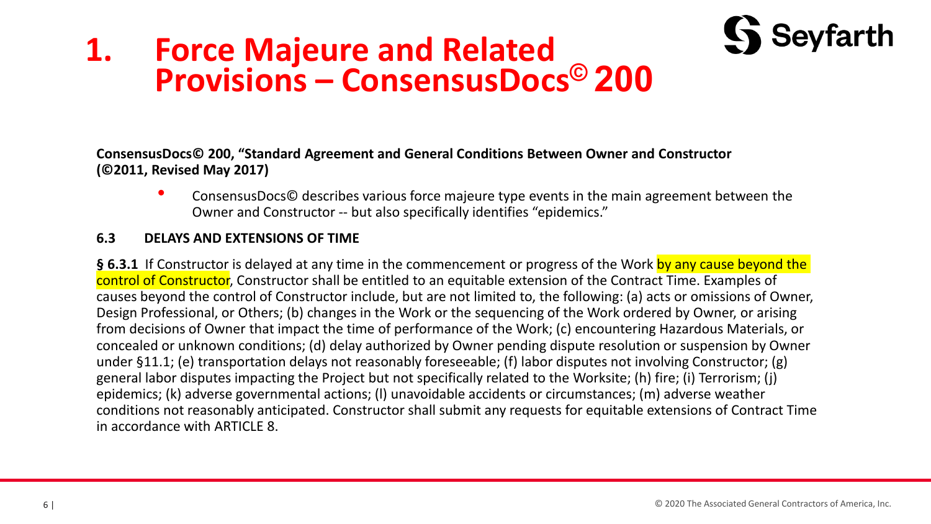## **1. Force Majeure and Related Provisions – ConsensusDocs© 200**

**ConsensusDocs© 200, "Standard Agreement and General Conditions Between Owner and Constructor (©2011, Revised May 2017)**

• ConsensusDocs© describes various force majeure type events in the main agreement between the Owner and Constructor -- but also specifically identifies "epidemics."

### **6.3 DELAYS AND EXTENSIONS OF TIME**

**§ 6.3.1** If Constructor is delayed at any time in the commencement or progress of the Work by any cause beyond the control of Constructor, Constructor shall be entitled to an equitable extension of the Contract Time. Examples of causes beyond the control of Constructor include, but are not limited to, the following: (a) acts or omissions of Owner, Design Professional, or Others; (b) changes in the Work or the sequencing of the Work ordered by Owner, or arising from decisions of Owner that impact the time of performance of the Work; (c) encountering Hazardous Materials, or concealed or unknown conditions; (d) delay authorized by Owner pending dispute resolution or suspension by Owner under §11.1; (e) transportation delays not reasonably foreseeable; (f) labor disputes not involving Constructor; (g) general labor disputes impacting the Project but not specifically related to the Worksite; (h) fire; (i) Terrorism; (j) epidemics; (k) adverse governmental actions; (l) unavoidable accidents or circumstances; (m) adverse weather conditions not reasonably anticipated. Constructor shall submit any requests for equitable extensions of Contract Time in accordance with ARTICLE 8.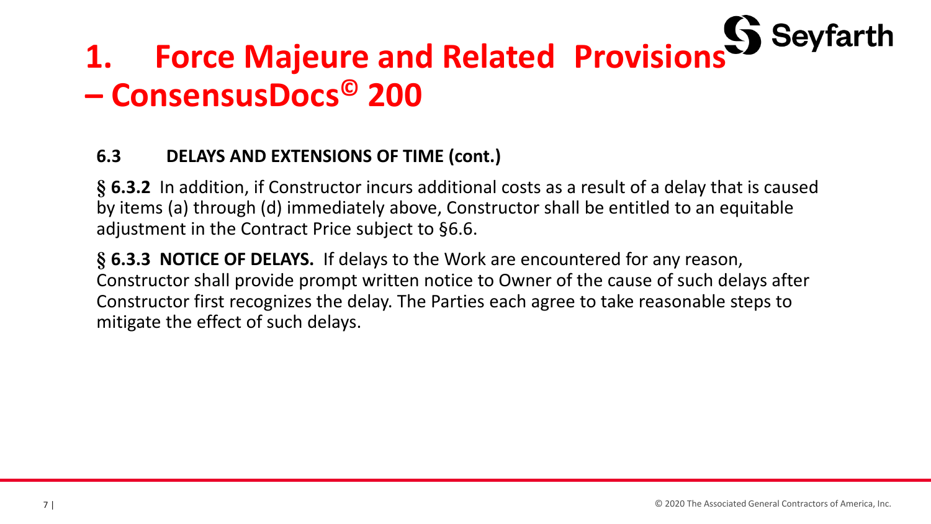# **1. Force Majeure and Related Provisions – ConsensusDocs© 200**

### **6.3 DELAYS AND EXTENSIONS OF TIME (cont.)**

**§ 6.3.2** In addition, if Constructor incurs additional costs as a result of a delay that is caused by items (a) through (d) immediately above, Constructor shall be entitled to an equitable adjustment in the Contract Price subject to §6.6.

**§ 6.3.3 NOTICE OF DELAYS.** If delays to the Work are encountered for any reason, Constructor shall provide prompt written notice to Owner of the cause of such delays after Constructor first recognizes the delay. The Parties each agree to take reasonable steps to mitigate the effect of such delays.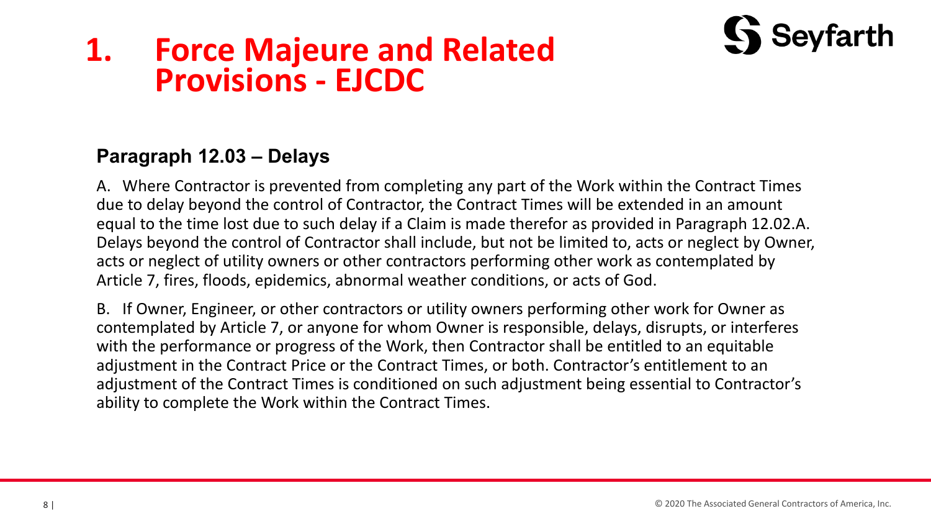## **1. Force Majeure and Related Provisions - EJCDC**

### **Paragraph 12.03 – Delays**

A. Where Contractor is prevented from completing any part of the Work within the Contract Times due to delay beyond the control of Contractor, the Contract Times will be extended in an amount equal to the time lost due to such delay if a Claim is made therefor as provided in Paragraph 12.02.A. Delays beyond the control of Contractor shall include, but not be limited to, acts or neglect by Owner, acts or neglect of utility owners or other contractors performing other work as contemplated by Article 7, fires, floods, epidemics, abnormal weather conditions, or acts of God.

B. If Owner, Engineer, or other contractors or utility owners performing other work for Owner as contemplated by Article 7, or anyone for whom Owner is responsible, delays, disrupts, or interferes with the performance or progress of the Work, then Contractor shall be entitled to an equitable adjustment in the Contract Price or the Contract Times, or both. Contractor's entitlement to an adjustment of the Contract Times is conditioned on such adjustment being essential to Contractor's ability to complete the Work within the Contract Times.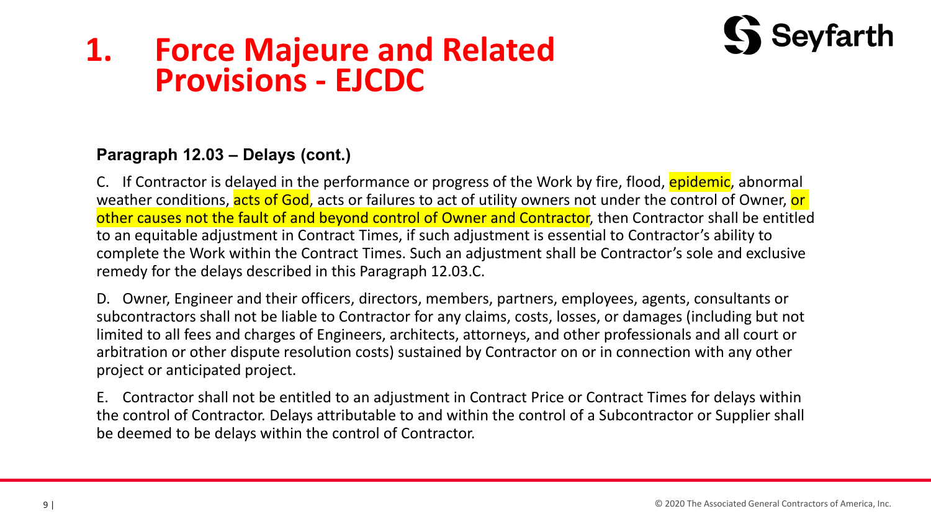## **1. Force Majeure and Related Provisions - EJCDC**



C. If Contractor is delayed in the performance or progress of the Work by fire, flood, epidemic, abnormal weather conditions, acts of God, acts or failures to act of utility owners not under the control of Owner, or other causes not the fault of and beyond control of Owner and Contractor, then Contractor shall be entitled to an equitable adjustment in Contract Times, if such adjustment is essential to Contractor's ability to complete the Work within the Contract Times. Such an adjustment shall be Contractor's sole and exclusive remedy for the delays described in this Paragraph 12.03.C.

D. Owner, Engineer and their officers, directors, members, partners, employees, agents, consultants or subcontractors shall not be liable to Contractor for any claims, costs, losses, or damages (including but not limited to all fees and charges of Engineers, architects, attorneys, and other professionals and all court or arbitration or other dispute resolution costs) sustained by Contractor on or in connection with any other project or anticipated project.

E. Contractor shall not be entitled to an adjustment in Contract Price or Contract Times for delays within the control of Contractor. Delays attributable to and within the control of a Subcontractor or Supplier shall be deemed to be delays within the control of Contractor.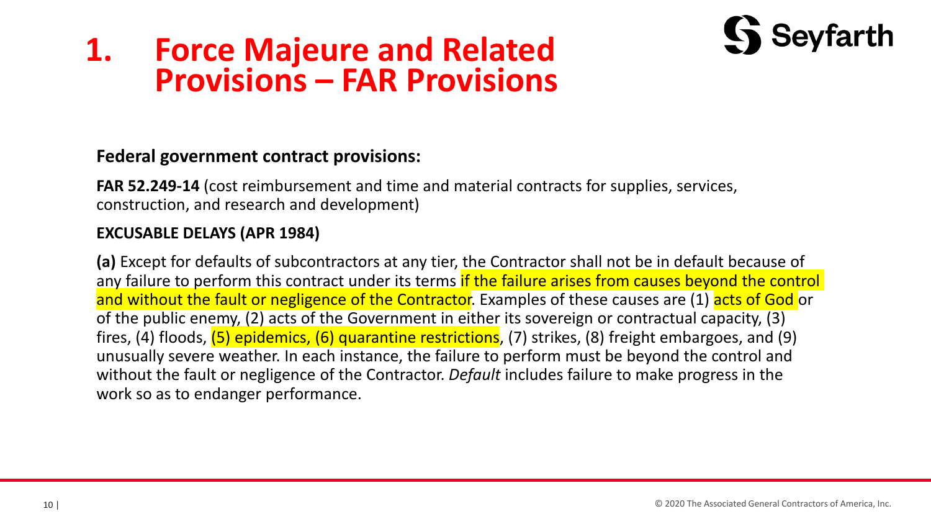

**FAR 52.249-14** (cost reimbursement and time and material contracts for supplies, services, construction, and research and development)

### **EXCUSABLE DELAYS (APR 1984)**

**(a)** Except for defaults of subcontractors at any tier, the Contractor shall not be in default because of any failure to perform this contract under its terms if the failure arises from causes beyond the control and without the fault or negligence of the Contractor. Examples of these causes are (1) acts of God or of the public enemy, (2) acts of the Government in either its sovereign or contractual capacity, (3) fires, (4) floods, (5) epidemics, (6) quarantine restrictions, (7) strikes, (8) freight embargoes, and (9) unusually severe weather. In each instance, the failure to perform must be beyond the control and without the fault or negligence of the Contractor. *Default* includes failure to make progress in the work so as to endanger performance.

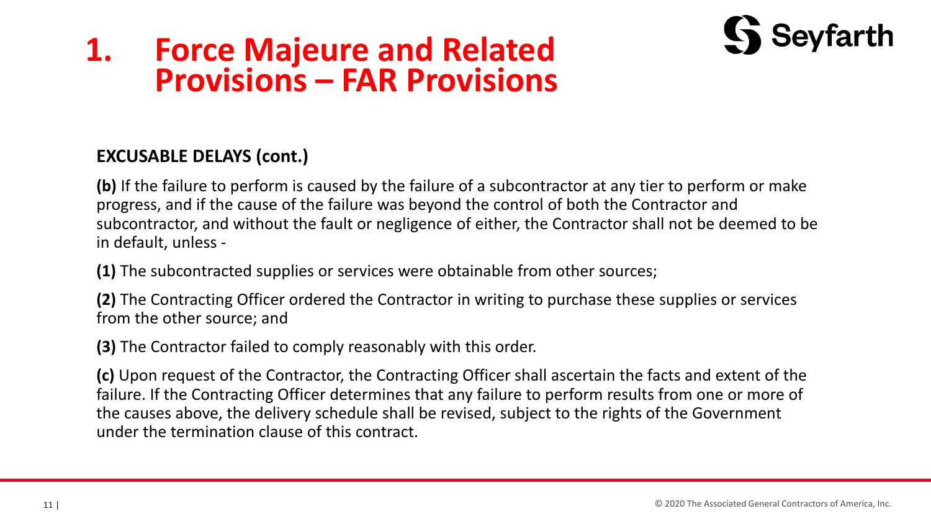

### **EXCUSABLE DELAYS (cont.)**

**(b)** If the failure to perform is caused by the failure of a subcontractor at any tier to perform or make progress, and if the cause of the failure was beyond the control of both the Contractor and subcontractor, and without the fault or negligence of either, the Contractor shall not be deemed to be in default, unless -

**(1)** The subcontracted supplies or services were obtainable from other sources;

**(2)** The Contracting Officer ordered the Contractor in writing to purchase these supplies or services from the other source; and

**(3)** The Contractor failed to comply reasonably with this order.

**(c)** Upon request of the Contractor, the Contracting Officer shall ascertain the facts and extent of the failure. If the Contracting Officer determines that any failure to perform results from one or more of the causes above, the delivery schedule shall be revised, subject to the rights of the Government under the termination clause of this contract.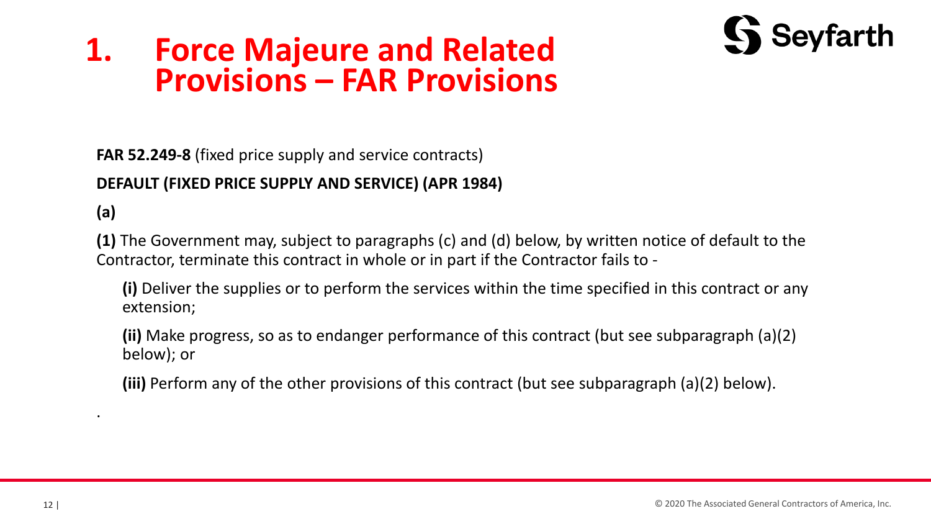

**FAR 52.249-8** (fixed price supply and service contracts)

### **DEFAULT (FIXED PRICE SUPPLY AND SERVICE) (APR 1984)**

**(a)** 

.

**(1)** The Government may, subject to paragraphs (c) and (d) below, by written notice of default to the Contractor, terminate this contract in whole or in part if the Contractor fails to -

**(i)** Deliver the supplies or to perform the services within the time specified in this contract or any extension;

**(ii)** Make progress, so as to endanger performance of this contract (but see subparagraph (a)(2) below); or

**(iii)** Perform any of the other provisions of this contract (but see subparagraph (a)(2) below).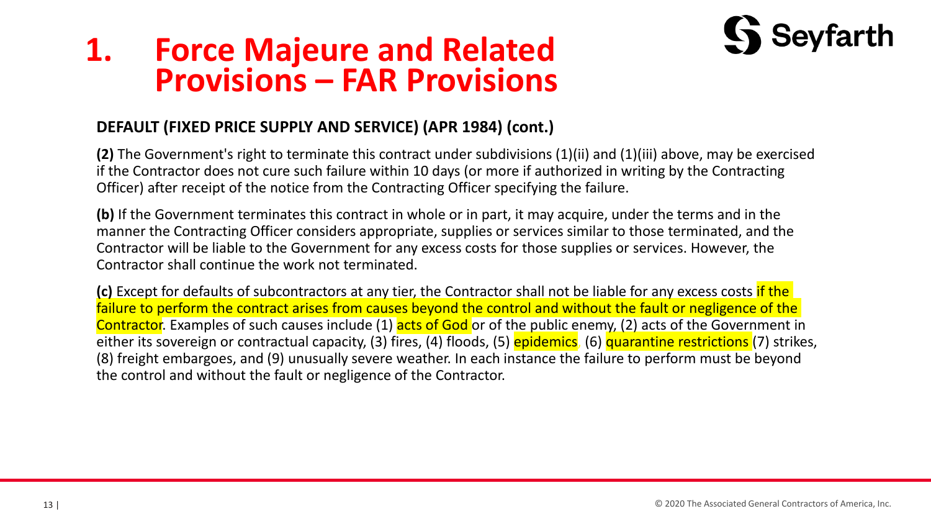

### **DEFAULT (FIXED PRICE SUPPLY AND SERVICE) (APR 1984) (cont.)**

**(2)** The Government's right to terminate this contract under subdivisions (1)(ii) and (1)(iii) above, may be exercised if the Contractor does not cure such failure within 10 days (or more if authorized in writing by the Contracting Officer) after receipt of the notice from the Contracting Officer specifying the failure.

**(b)** If the Government terminates this contract in whole or in part, it may acquire, under the terms and in the manner the Contracting Officer considers appropriate, supplies or services similar to those terminated, and the Contractor will be liable to the Government for any excess costs for those supplies or services. However, the Contractor shall continue the work not terminated.

**(c)** Except for defaults of subcontractors at any tier, the Contractor shall not be liable for any excess costs if the failure to perform the contract arises from causes beyond the control and without the fault or negligence of the Contractor. Examples of such causes include (1) acts of God or of the public enemy, (2) acts of the Government in either its sovereign or contractual capacity, (3) fires, (4) floods, (5) **epidemics**, (6) quarantine restrictions (7) strikes, (8) freight embargoes, and (9) unusually severe weather. In each instance the failure to perform must be beyond the control and without the fault or negligence of the Contractor.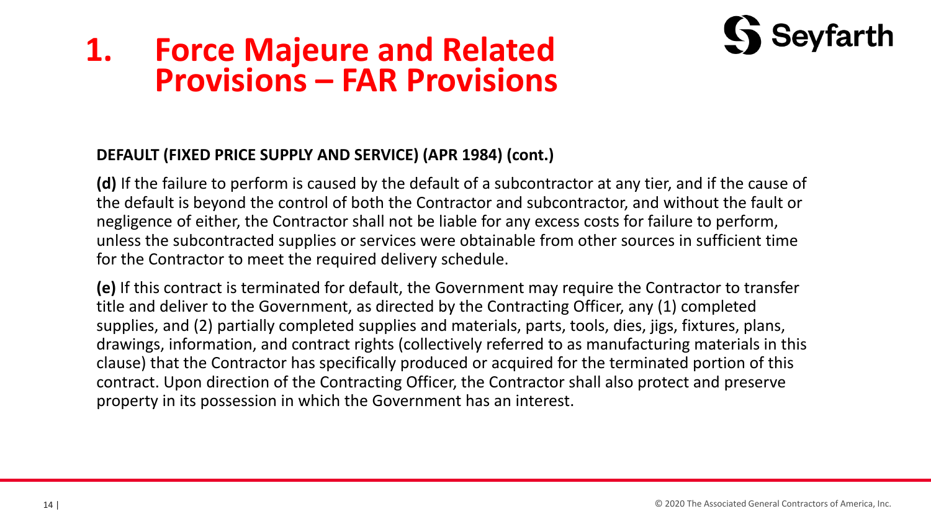

### **DEFAULT (FIXED PRICE SUPPLY AND SERVICE) (APR 1984) (cont.)**

**(d)** If the failure to perform is caused by the default of a subcontractor at any tier, and if the cause of the default is beyond the control of both the Contractor and subcontractor, and without the fault or negligence of either, the Contractor shall not be liable for any excess costs for failure to perform, unless the subcontracted supplies or services were obtainable from other sources in sufficient time for the Contractor to meet the required delivery schedule.

**(e)** If this contract is terminated for default, the Government may require the Contractor to transfer title and deliver to the Government, as directed by the Contracting Officer, any (1) completed supplies, and (2) partially completed supplies and materials, parts, tools, dies, jigs, fixtures, plans, drawings, information, and contract rights (collectively referred to as manufacturing materials in this clause) that the Contractor has specifically produced or acquired for the terminated portion of this contract. Upon direction of the Contracting Officer, the Contractor shall also protect and preserve property in its possession in which the Government has an interest.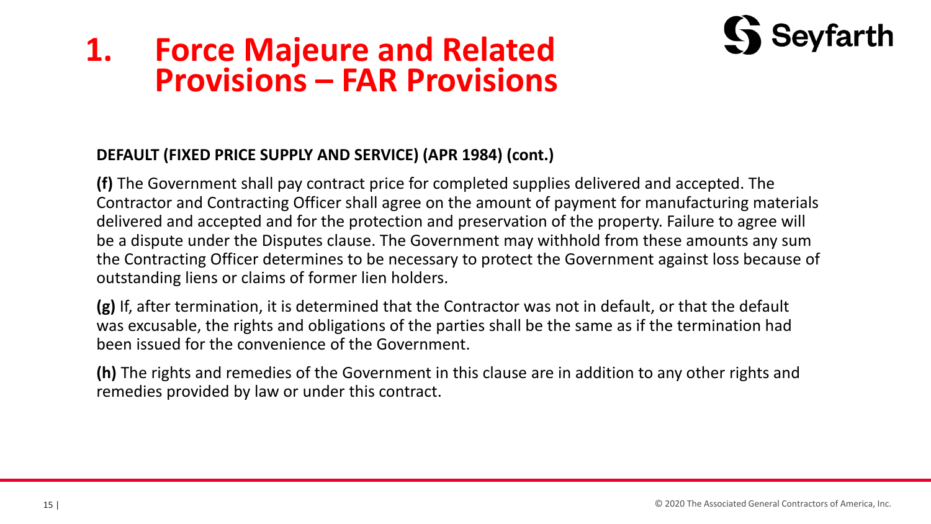

### **DEFAULT (FIXED PRICE SUPPLY AND SERVICE) (APR 1984) (cont.)**

**(f)** The Government shall pay contract price for completed supplies delivered and accepted. The Contractor and Contracting Officer shall agree on the amount of payment for manufacturing materials delivered and accepted and for the protection and preservation of the property. Failure to agree will be a dispute under the Disputes clause. The Government may withhold from these amounts any sum the Contracting Officer determines to be necessary to protect the Government against loss because of outstanding liens or claims of former lien holders.

**(g)** If, after termination, it is determined that the Contractor was not in default, or that the default was excusable, the rights and obligations of the parties shall be the same as if the termination had been issued for the convenience of the Government.

**(h)** The rights and remedies of the Government in this clause are in addition to any other rights and remedies provided by law or under this contract.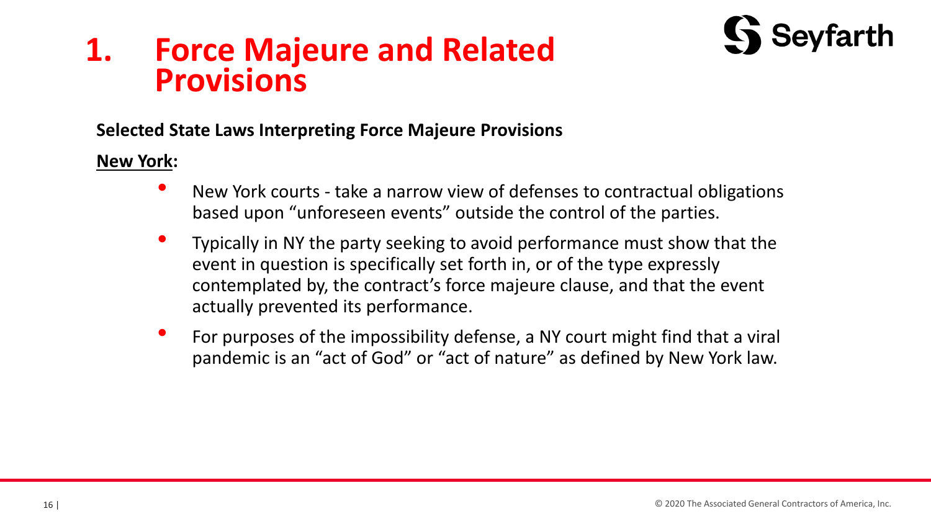## **1. Force Majeure and Related Provisions**



### **Selected State Laws Interpreting Force Majeure Provisions**

### **New York:**

- New York courts take a narrow view of defenses to contractual obligations based upon "unforeseen events" outside the control of the parties.
- Typically in NY the party seeking to avoid performance must show that the event in question is specifically set forth in, or of the type expressly contemplated by, the contract's force majeure clause, and that the event actually prevented its performance.
- For purposes of the impossibility defense, a NY court might find that a viral pandemic is an "act of God" or "act of nature" as defined by New York law.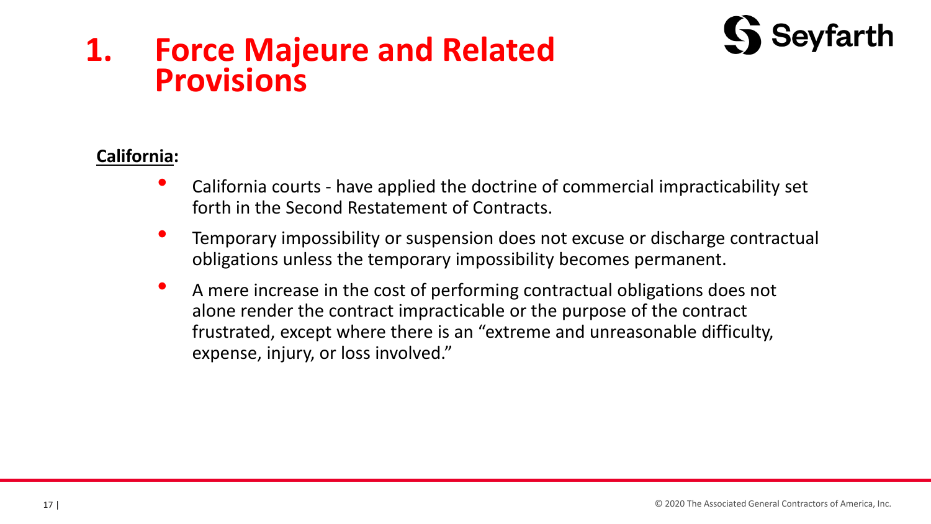## **1. Force Majeure and Related Provisions**



### **California:**

- California courts have applied the doctrine of commercial impracticability set forth in the Second Restatement of Contracts.
- Temporary impossibility or suspension does not excuse or discharge contractual obligations unless the temporary impossibility becomes permanent.
- A mere increase in the cost of performing contractual obligations does not alone render the contract impracticable or the purpose of the contract frustrated, except where there is an "extreme and unreasonable difficulty, expense, injury, or loss involved."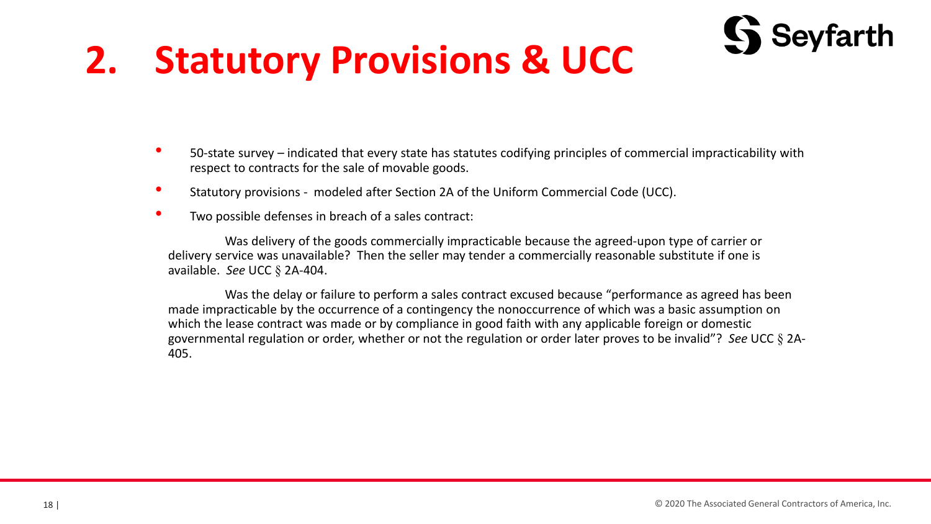# **2. Statutory Provisions & UCC**



- Statutory provisions modeled after Section 2A of the Uniform Commercial Code (UCC).
- Two possible defenses in breach of a sales contract:

Was delivery of the goods commercially impracticable because the agreed-upon type of carrier or delivery service was unavailable? Then the seller may tender a commercially reasonable substitute if one is available. *See* UCC § 2A-404.

Was the delay or failure to perform a sales contract excused because "performance as agreed has been made impracticable by the occurrence of a contingency the nonoccurrence of which was a basic assumption on which the lease contract was made or by compliance in good faith with any applicable foreign or domestic governmental regulation or order, whether or not the regulation or order later proves to be invalid"? *See* UCC § 2A-405.

**Seyfarth**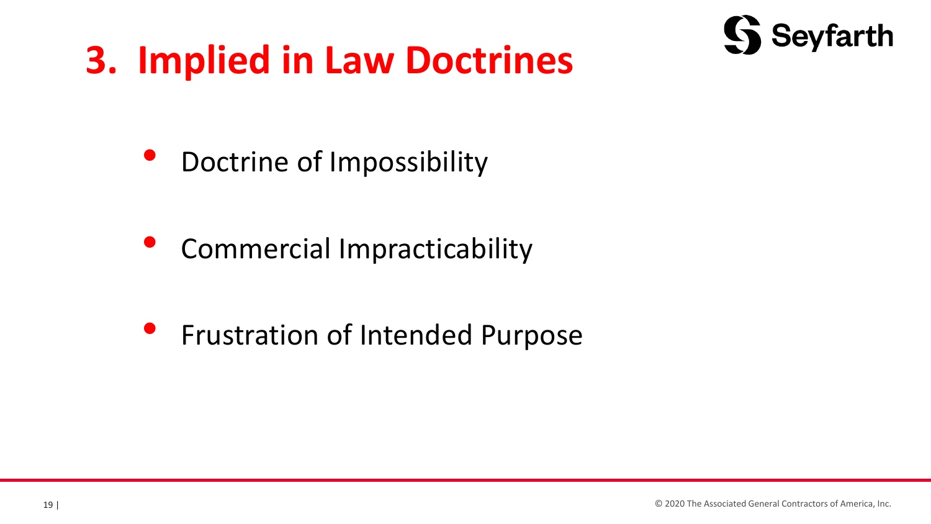# **3. Implied in Law Doctrines**



• Doctrine of Impossibility

• Commercial Impracticability

• Frustration of Intended Purpose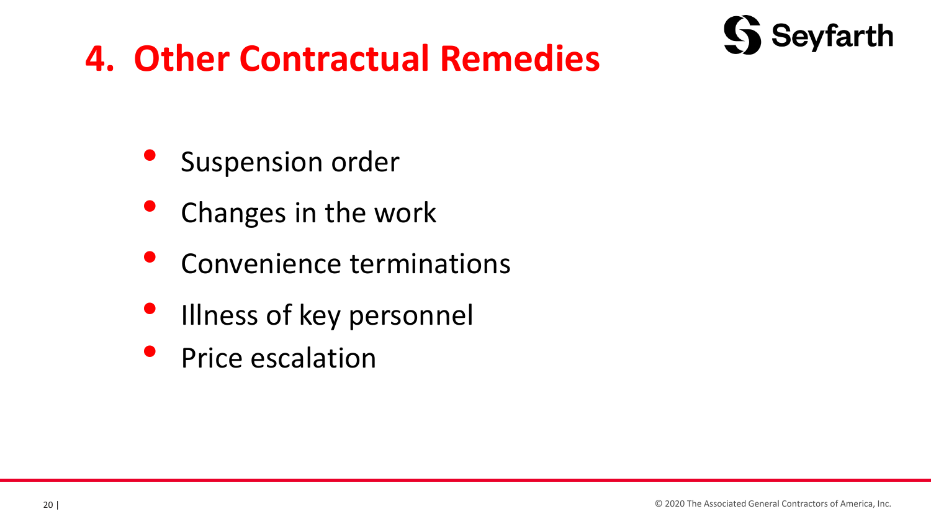

# **4. Other Contractual Remedies**

- Suspension order
- Changes in the work
- Convenience terminations
- Illness of key personnel
- Price escalation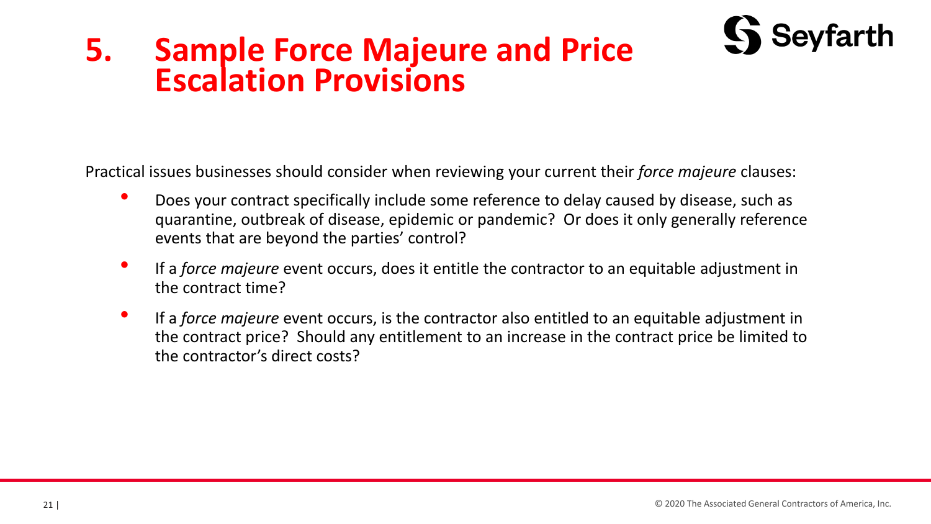## **5. Sample Force Majeure and Price Escalation Provisions**

Practical issues businesses should consider when reviewing your current their *force majeure* clauses:

- Does your contract specifically include some reference to delay caused by disease, such as quarantine, outbreak of disease, epidemic or pandemic? Or does it only generally reference events that are beyond the parties' control?
- If a *force majeure* event occurs, does it entitle the contractor to an equitable adjustment in the contract time?
- If a *force majeure* event occurs, is the contractor also entitled to an equitable adjustment in the contract price? Should any entitlement to an increase in the contract price be limited to the contractor's direct costs?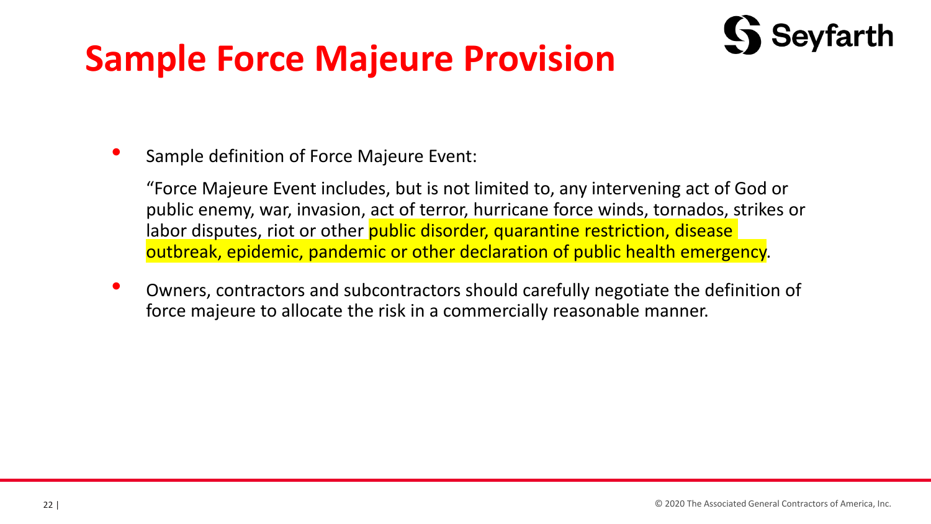# **Sample Force Majeure Provision**



• Sample definition of Force Majeure Event:

"Force Majeure Event includes, but is not limited to, any intervening act of God or public enemy, war, invasion, act of terror, hurricane force winds, tornados, strikes or labor disputes, riot or other **public disorder, quarantine restriction, disease** outbreak, epidemic, pandemic or other declaration of public health emergency.

• Owners, contractors and subcontractors should carefully negotiate the definition of force majeure to allocate the risk in a commercially reasonable manner.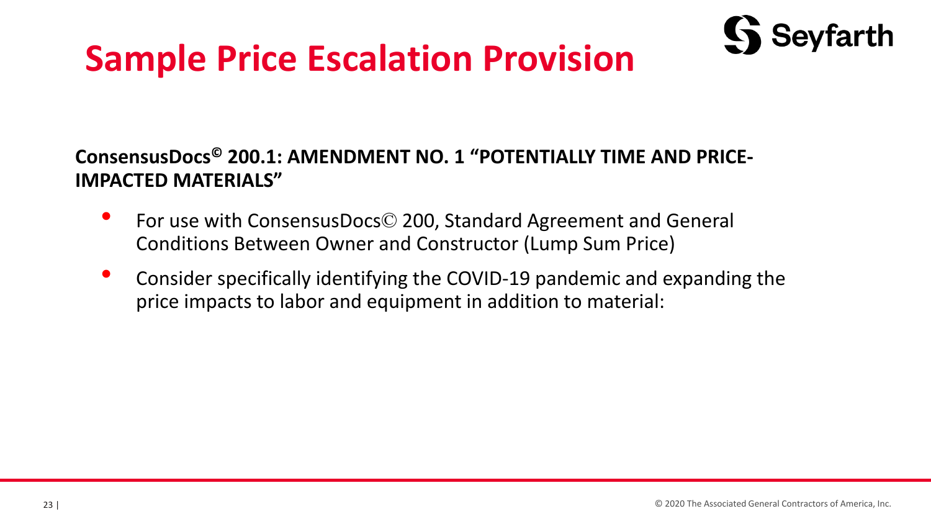# **Sample Price Escalation Provision**



## **ConsensusDocs© 200.1: AMENDMENT NO. 1 "POTENTIALLY TIME AND PRICE-IMPACTED MATERIALS"**

- For use with ConsensusDocs© 200, Standard Agreement and General Conditions Between Owner and Constructor (Lump Sum Price)
- Consider specifically identifying the COVID-19 pandemic and expanding the price impacts to labor and equipment in addition to material: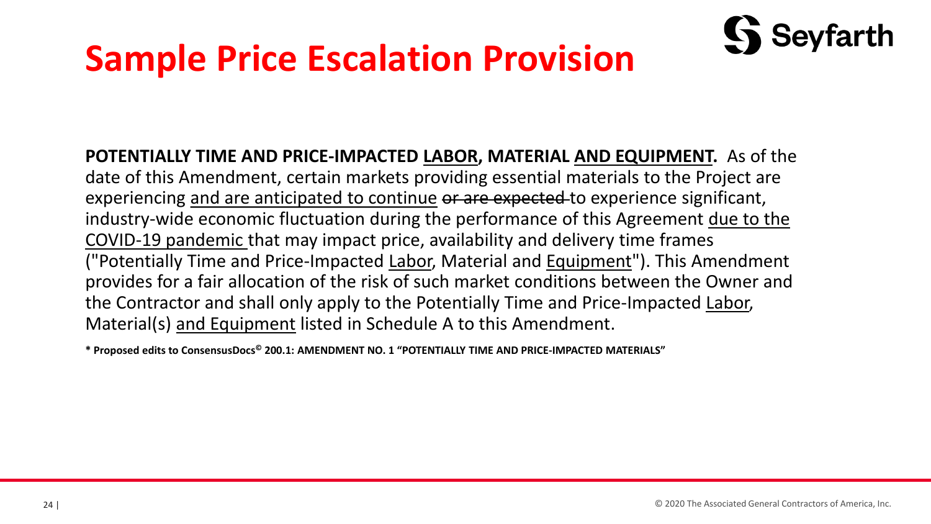# **Sample Price Escalation Provision**



**\* Proposed edits to ConsensusDocs© 200.1: AMENDMENT NO. 1 "POTENTIALLY TIME AND PRICE-IMPACTED MATERIALS"**

Seyfarth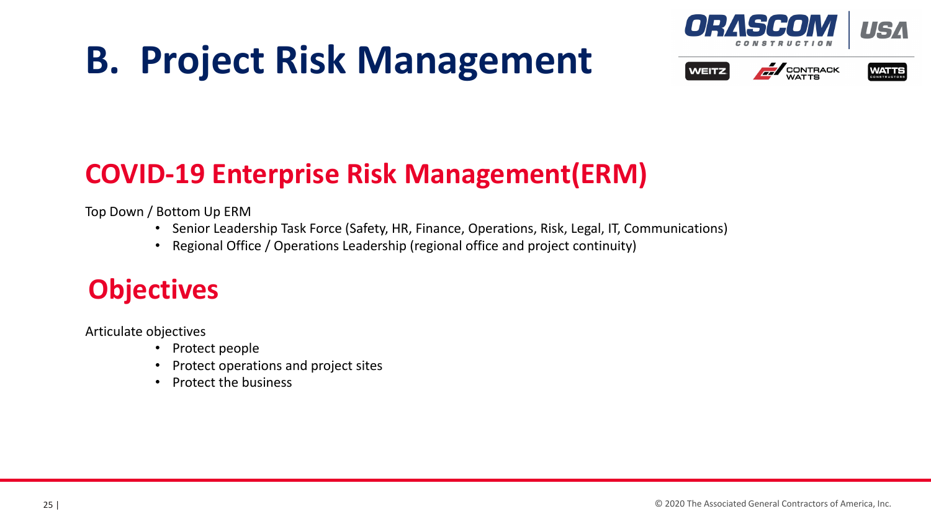# **B. Project Risk Management**







## **COVID-19 Enterprise Risk Management(ERM)**

Top Down / Bottom Up ERM

- Senior Leadership Task Force (Safety, HR, Finance, Operations, Risk, Legal, IT, Communications)
- Regional Office / Operations Leadership (regional office and project continuity)

## **Objectives**

Articulate objectives

- Protect people
- Protect operations and project sites
- Protect the business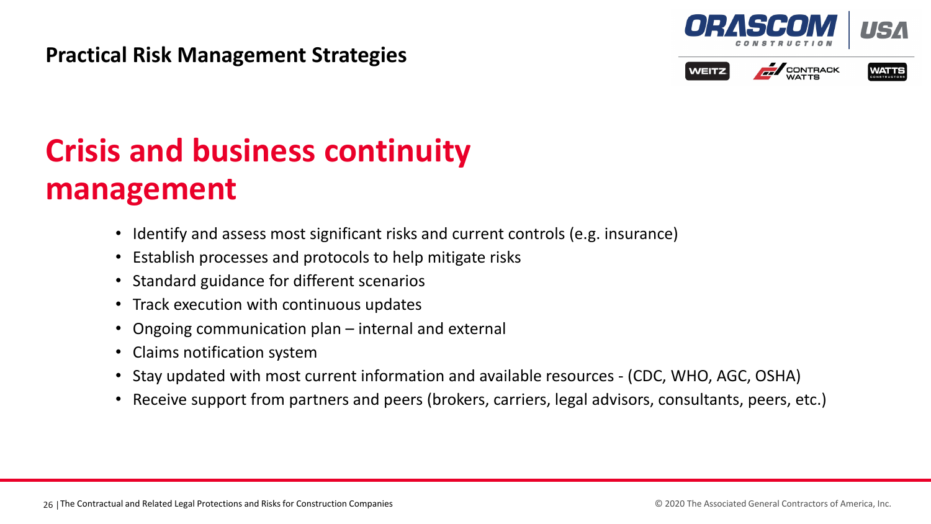### **Practical Risk Management Strategies**







## **Crisis and business continuity management**

- Identify and assess most significant risks and current controls (e.g. insurance)
- Establish processes and protocols to help mitigate risks
- Standard guidance for different scenarios
- Track execution with continuous updates
- Ongoing communication plan internal and external
- Claims notification system
- Stay updated with most current information and available resources (CDC, WHO, AGC, OSHA)
- Receive support from partners and peers (brokers, carriers, legal advisors, consultants, peers, etc.)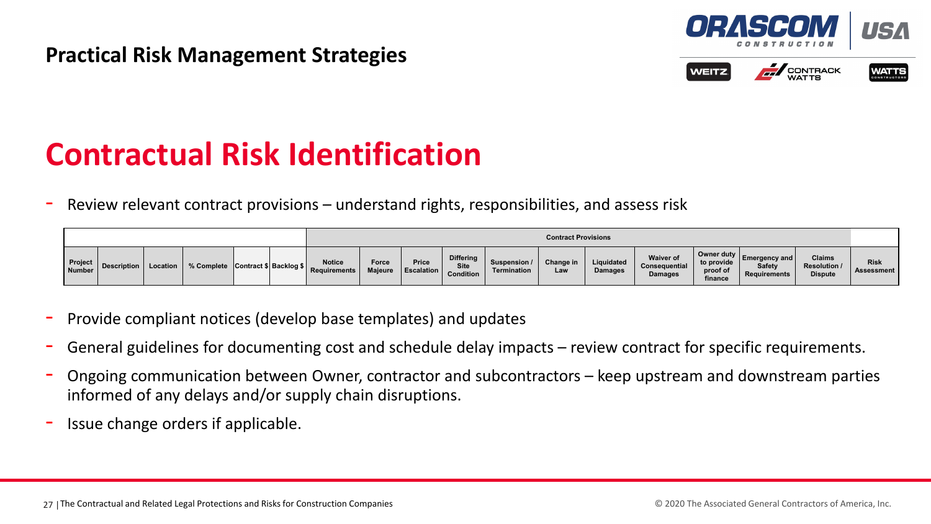

### **EN CONTRACK WEITZ**



## **Contractual Risk Identification**

Review relevant contract provisions – understand rights, responsibilities, and assess risk

|                          |                        |                                   |  |                               |                  |                                   |                                              |                             | <b>Contract Provisions</b> |                              |                                                     |                                                                         |                                                                               |                                                        |                           |
|--------------------------|------------------------|-----------------------------------|--|-------------------------------|------------------|-----------------------------------|----------------------------------------------|-----------------------------|----------------------------|------------------------------|-----------------------------------------------------|-------------------------------------------------------------------------|-------------------------------------------------------------------------------|--------------------------------------------------------|---------------------------|
| <b>Project</b><br>Number | Description   Location | % Complete Contract \$ Backlog \$ |  | <b>Notice</b><br>Requirements | Force<br>Majeure | <b>Price</b><br><b>Escalation</b> | <b>Differing</b><br><b>Site</b><br>Condition | Suspension /<br>Termination | Change in<br>Law           | Liquidated<br><b>Damages</b> | <b>Waiver of</b><br>Consequential<br><b>Damages</b> | $\vert$ Owner duty $\vert$ $\vert$<br>to provide<br>proof of<br>finance | <b>Emergency and <math>\mathbf{r}</math></b><br><b>Safety</b><br>Requirements | <b>Claims</b><br><b>Resolution /</b><br><b>Dispute</b> | <b>Risk</b><br>Assessment |

- Provide compliant notices (develop base templates) and updates
- General guidelines for documenting cost and schedule delay impacts review contract for specific requirements.
- Ongoing communication between Owner, contractor and subcontractors keep upstream and downstream parties informed of any delays and/or supply chain disruptions.
- Issue change orders if applicable.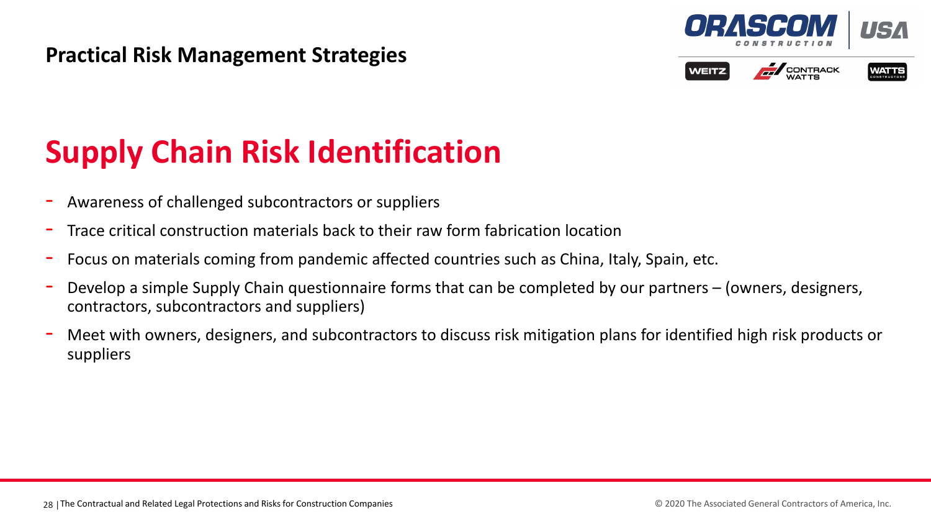### **Practical Risk Management Strategies**







## **Supply Chain Risk Identification**

- Awareness of challenged subcontractors or suppliers
- Trace critical construction materials back to their raw form fabrication location
- Focus on materials coming from pandemic affected countries such as China, Italy, Spain, etc.
- Develop a simple Supply Chain questionnaire forms that can be completed by our partners (owners, designers, contractors, subcontractors and suppliers)
- Meet with owners, designers, and subcontractors to discuss risk mitigation plans for identified high risk products or suppliers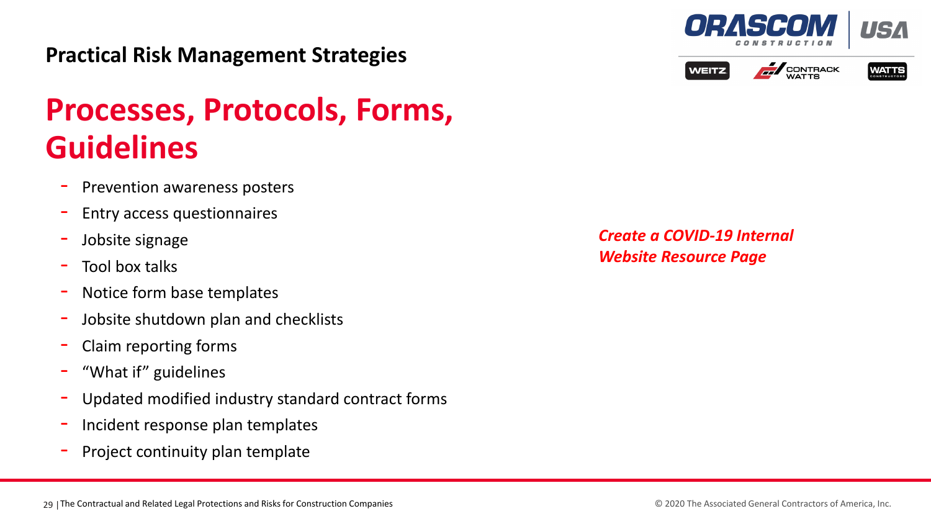

Notice form base templates

Prevention awareness posters

- Entry access questionnaires

- Jobsite shutdown plan and checklists
- Claim reporting forms

Jobsite signage

**Guidelines**

- "What if" guidelines
- Updated modified industry standard contract forms
- Incident response plan templates
- Project continuity plan template

29 | The Contractual and Related Legal Protections and Risks for Construction Companies **2000** Construction Companies **2000** The Associated General Contractors of America, Inc.

*Create a COVID-19 Internal Website Resource Page*



**Processes, Protocols, Forms,** 



**EN CONTRACK** 

**WEITZ** 

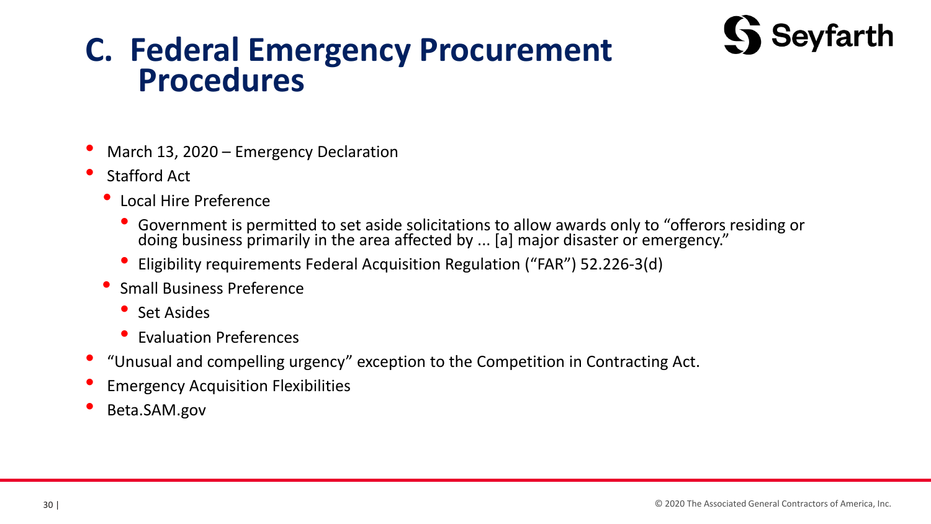

# **C. Federal Emergency Procurement Procedures**

- March 13, 2020 Emergency Declaration
- Stafford Act
	- Local Hire Preference
		- Government is permitted to set aside solicitations to allow awards only to "offerors residing or doing business primarily in the area affected by ... [a] major disaster or emergency."
		- Eligibility requirements Federal Acquisition Regulation ("FAR") 52.226-3(d)
	- Small Business Preference
		- Set Asides
		- Evaluation Preferences
- "Unusual and compelling urgency" exception to the Competition in Contracting Act.
- Emergency Acquisition Flexibilities
- Beta.SAM.gov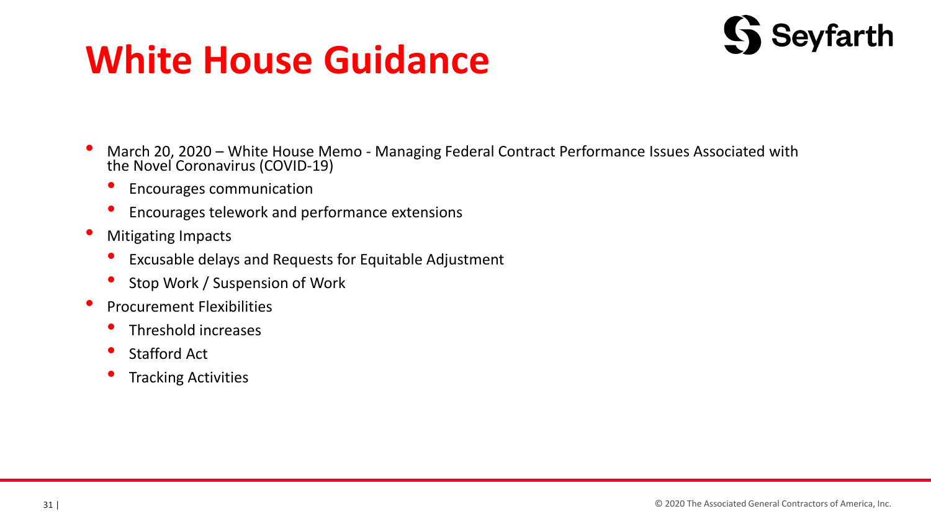# **White House Guidance**



- March 20, 2020 White House Memo Managing Federal Contract Performance Issues Associated with the Novel Coronavirus (COVID-19)
	- Encourages communication
	- Encourages telework and performance extensions
- Mitigating Impacts
	- Excusable delays and Requests for Equitable Adjustment
	- Stop Work / Suspension of Work
- Procurement Flexibilities
	- Threshold increases
	- Stafford Act
	- Tracking Activities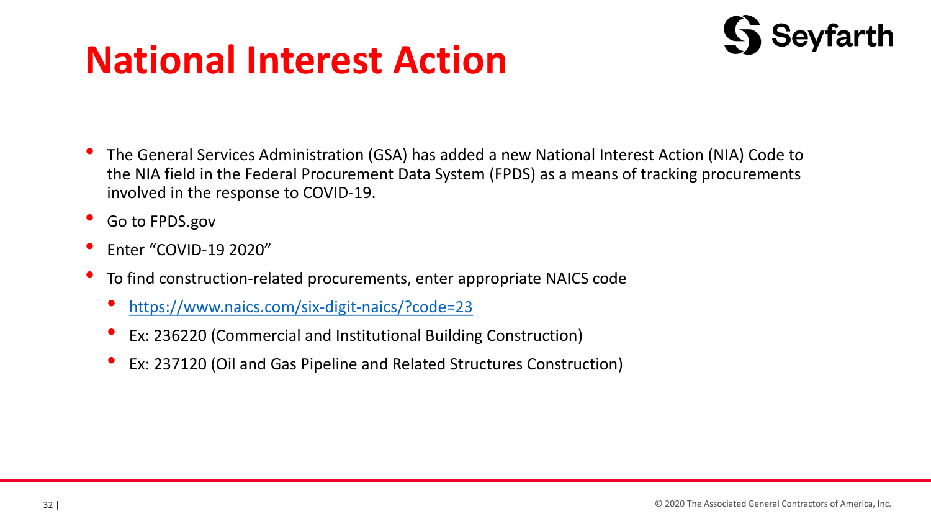# **National Interest Action**



- The General Services Administration (GSA) has added a new National Interest Action (NIA) Code to the NIA field in the Federal Procurement Data System (FPDS) as a means of tracking procurements involved in the response to COVID-19.
- Go to FPDS.gov
- Enter "COVID-19 2020"
- To find construction-related procurements, enter appropriate NAICS code
	- <https://www.naics.com/six-digit-naics/?code=23>
	- Ex: 236220 (Commercial and Institutional Building Construction)
	- Ex: 237120 (Oil and Gas Pipeline and Related Structures Construction)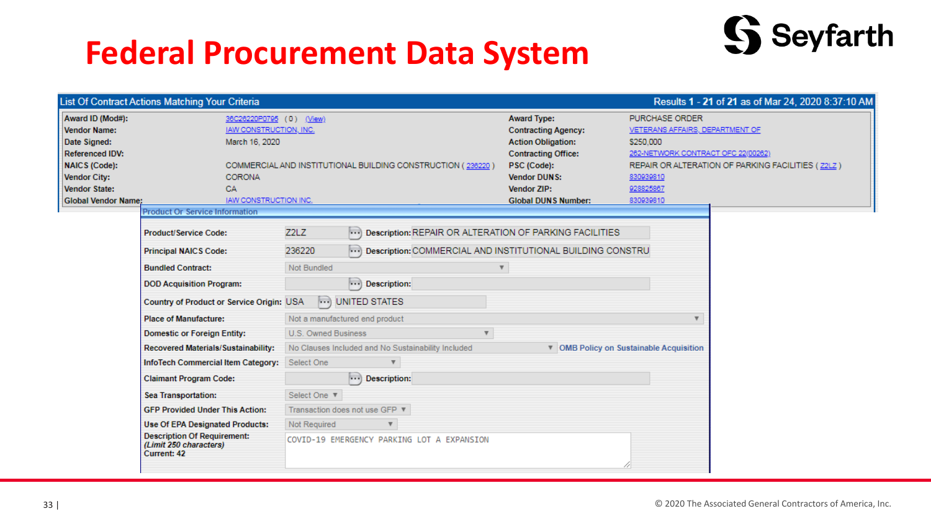## **Federal Procurement Data System**



|                                                                                                                                                                          | List Of Contract Actions Matching Your Criteria                                                                             |                                                             |                                                                                                                                                                                                       | Results 1 - 21 of 21 as of Mar 24, 2020 8:37:10 AM                                                                                                                                               |  |
|--------------------------------------------------------------------------------------------------------------------------------------------------------------------------|-----------------------------------------------------------------------------------------------------------------------------|-------------------------------------------------------------|-------------------------------------------------------------------------------------------------------------------------------------------------------------------------------------------------------|--------------------------------------------------------------------------------------------------------------------------------------------------------------------------------------------------|--|
| Award ID (Mod#):<br>Vendor Name:<br>Date Signed:<br><b>Referenced IDV:</b><br><b>NAICS (Code):</b><br><b>Vendor City:</b><br>Vendor State:<br><b>Global Vendor Name:</b> | 36C26220P0795 (0) (View)<br>IAW CONSTRUCTION, INC.<br>March 16, 2020<br><b>CORONA</b><br>CA<br><b>JAW CONSTRUCTION INC.</b> | COMMERCIAL AND INSTITUTIONAL BUILDING CONSTRUCTION (236220) | <b>Award Type:</b><br><b>Contracting Agency:</b><br><b>Action Obligation:</b><br><b>Contracting Office:</b><br>PSC (Code):<br><b>Vendor DUNS:</b><br><b>Vendor ZIP:</b><br><b>Global DUNS Number:</b> | PURCHASE ORDER<br>VETERANS AFFAIRS, DEPARTMENT OF<br>\$250,000<br>262-NETWORK CONTRACT OFC 22(00262)<br>REPAIR OR ALTERATION OF PARKING FACILITIES (22LZ)<br>830939810<br>928825867<br>830939810 |  |
|                                                                                                                                                                          | <b>Product Or Service Information</b>                                                                                       |                                                             |                                                                                                                                                                                                       |                                                                                                                                                                                                  |  |
|                                                                                                                                                                          | <b>Product/Service Code:</b>                                                                                                | Z2LZ                                                        | ) Description: REPAIR OR ALTERATION OF PARKING FACILITIES                                                                                                                                             |                                                                                                                                                                                                  |  |
|                                                                                                                                                                          | <b>Principal NAICS Code:</b>                                                                                                | 236220                                                      | ) Description: COMMERCIAL AND INSTITUTIONAL BUILDING CONSTRU                                                                                                                                          |                                                                                                                                                                                                  |  |
|                                                                                                                                                                          | <b>Bundled Contract:</b>                                                                                                    | Not Bundled                                                 | $\overline{\mathbf{v}}$                                                                                                                                                                               |                                                                                                                                                                                                  |  |
|                                                                                                                                                                          | <b>DOD Acquisition Program:</b>                                                                                             | $\cdots$ ) Description:                                     |                                                                                                                                                                                                       |                                                                                                                                                                                                  |  |
|                                                                                                                                                                          | Country of Product or Service Origin: USA                                                                                   | ) UNITED STATES                                             |                                                                                                                                                                                                       |                                                                                                                                                                                                  |  |
|                                                                                                                                                                          | <b>Place of Manufacture:</b>                                                                                                | Not a manufactured end product                              |                                                                                                                                                                                                       | $\overline{\mathbf{v}}$                                                                                                                                                                          |  |
|                                                                                                                                                                          | <b>Domestic or Foreign Entity:</b>                                                                                          | U.S. Owned Business                                         | $\boldsymbol{\mathrm{v}}$                                                                                                                                                                             |                                                                                                                                                                                                  |  |
|                                                                                                                                                                          | Recovered Materials/Sustainability:                                                                                         | No Clauses Included and No Sustainability Included          |                                                                                                                                                                                                       | ▼ OMB Policy on Sustainable Acquisition                                                                                                                                                          |  |
|                                                                                                                                                                          | InfoTech Commercial Item Category:                                                                                          | Select One                                                  |                                                                                                                                                                                                       |                                                                                                                                                                                                  |  |
|                                                                                                                                                                          | <b>Claimant Program Code:</b>                                                                                               | $\cdots$ ) Description:                                     |                                                                                                                                                                                                       |                                                                                                                                                                                                  |  |
|                                                                                                                                                                          | Sea Transportation:                                                                                                         | Select One ▼                                                |                                                                                                                                                                                                       |                                                                                                                                                                                                  |  |
|                                                                                                                                                                          | <b>GFP Provided Under This Action:</b>                                                                                      | Transaction does not use GFP ▼                              |                                                                                                                                                                                                       |                                                                                                                                                                                                  |  |
|                                                                                                                                                                          | <b>Use Of EPA Designated Products:</b>                                                                                      | Not Required<br>$\boldsymbol{\mathrm{v}}$                   |                                                                                                                                                                                                       |                                                                                                                                                                                                  |  |
|                                                                                                                                                                          | <b>Description Of Requirement:</b><br>(Limit 250 characters)<br>Current: 42                                                 | COVID-19 EMERGENCY PARKING LOT A EXPANSION                  |                                                                                                                                                                                                       |                                                                                                                                                                                                  |  |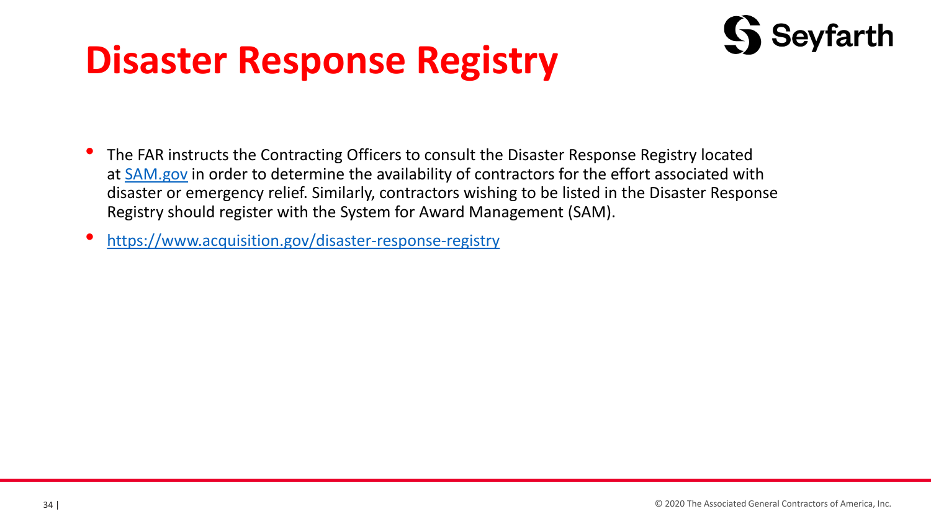# **Disaster Response Registry**



- The FAR instructs the Contracting Officers to consult the Disaster Response Registry located at **[SAM.gov](https://sam.gov/SAM/)** in order to determine the availability of contractors for the effort associated with disaster or emergency relief. Similarly, contractors wishing to be listed in the Disaster Response Registry should register with the System for Award Management (SAM).
- <https://www.acquisition.gov/disaster-response-registry>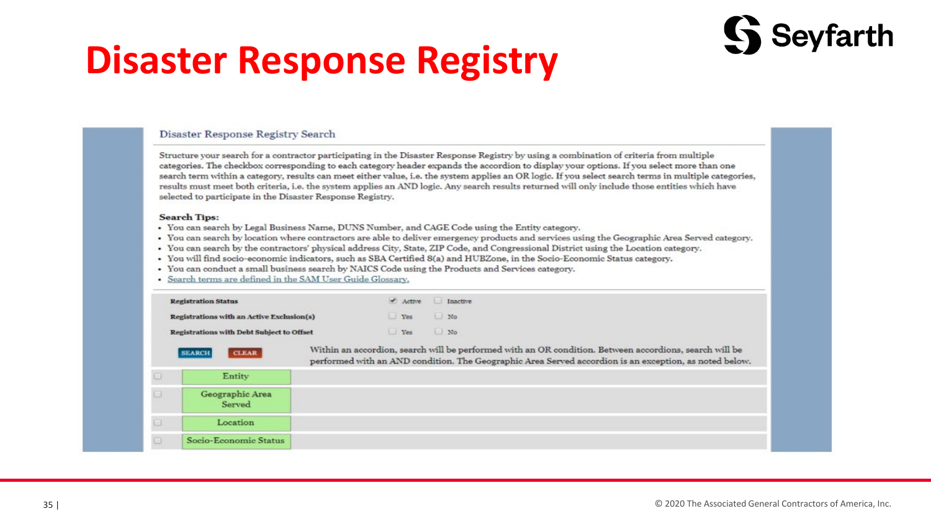# **Disaster Response Registry**

### Disaster Response Registry Search

Structure your search for a contractor participating in the Disaster Response Registry by using a combination of criteria from multiple categories. The checkbox corresponding to each category header expands the accordion to display your options. If you select more than one search term within a category, results can meet either value, i.e. the system applies an OR logic. If you select search terms in multiple categories, results must meet both criteria, i.e. the system applies an AND logic. Any search results returned will only include those entities which have selected to participate in the Disaster Response Registry.

### **Search Tips:**

- . You can search by Legal Business Name, DUNS Number, and CAGE Code using the Entity category.
- You can search by location where contractors are able to deliver emergency products and services using the Geographic Area Served category.
- You can search by the contractors' physical address City, State, ZIP Code, and Congressional District using the Location category.
- You will find socio-economic indicators, such as SBA Certified 8(a) and HUBZone, in the Socio-Economic Status category.
- . You can conduct a small business search by NAICS Code using the Products and Services category.
- Search terms are defined in the SAM User Guide Glossary.

|        | <b>Registration Status</b>                       | Active | Inactive                                                                                                                                                                                                         |
|--------|--------------------------------------------------|--------|------------------------------------------------------------------------------------------------------------------------------------------------------------------------------------------------------------------|
|        | Registrations with an Active Exclusion(s)        | Yes    | N <sub>o</sub>                                                                                                                                                                                                   |
|        | <b>Registrations with Debt Subject to Offset</b> | Yes No |                                                                                                                                                                                                                  |
|        | <b>CLEAR</b><br><b>SEARCH</b>                    |        | Within an accordion, search will be performed with an OR condition. Between accordions, search will be<br>performed with an AND condition. The Geographic Area Served accordion is an exception, as noted below. |
| $\Box$ | Entity                                           |        |                                                                                                                                                                                                                  |
|        | Geographic Area<br>Served                        |        |                                                                                                                                                                                                                  |
|        |                                                  |        |                                                                                                                                                                                                                  |
| o      | Location                                         |        |                                                                                                                                                                                                                  |

Seyfarth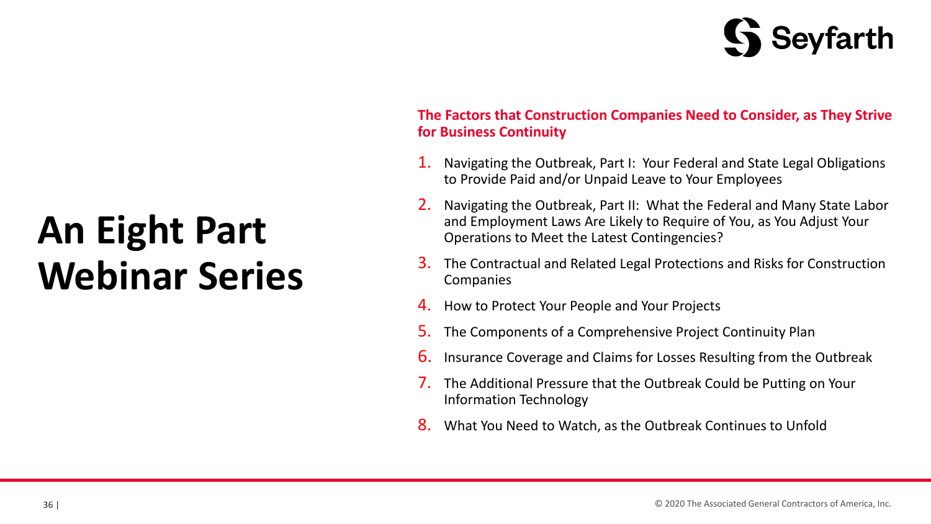# Seyfarth

# **An Eight Part Webinar Series**

### **The Factors that Construction Companies Need to Consider, as They Strive for Business Continuity**

- 1. Navigating the Outbreak, Part I: Your Federal and State Legal Obligations to Provide Paid and/or Unpaid Leave to Your Employees
- 2. Navigating the Outbreak, Part II: What the Federal and Many State Labor and Employment Laws Are Likely to Require of You, as You Adjust Your Operations to Meet the Latest Contingencies?
- 3. The Contractual and Related Legal Protections and Risks for Construction **Companies**
- 4. How to Protect Your People and Your Projects
- 5. The Components of a Comprehensive Project Continuity Plan
- 6. Insurance Coverage and Claims for Losses Resulting from the Outbreak
- 7. The Additional Pressure that the Outbreak Could be Putting on Your Information Technology
- 8. What You Need to Watch, as the Outbreak Continues to Unfold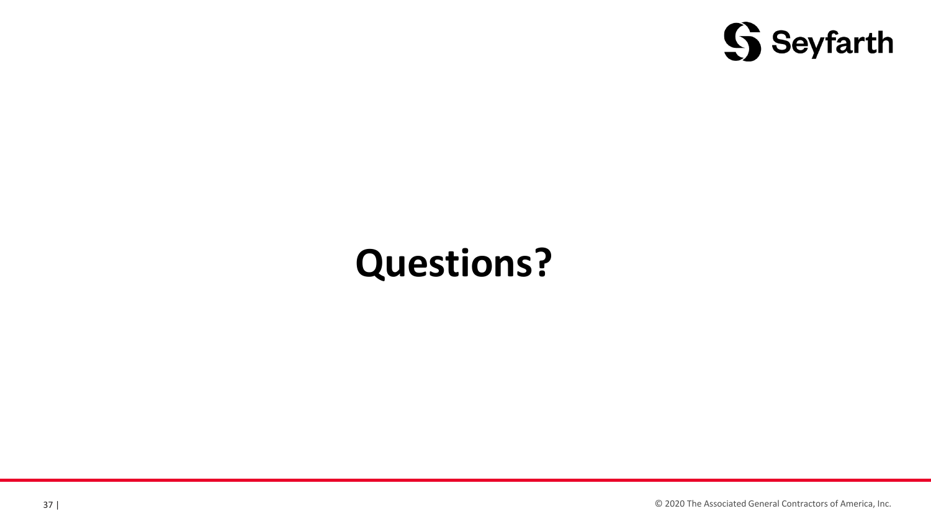

# **Questions?**